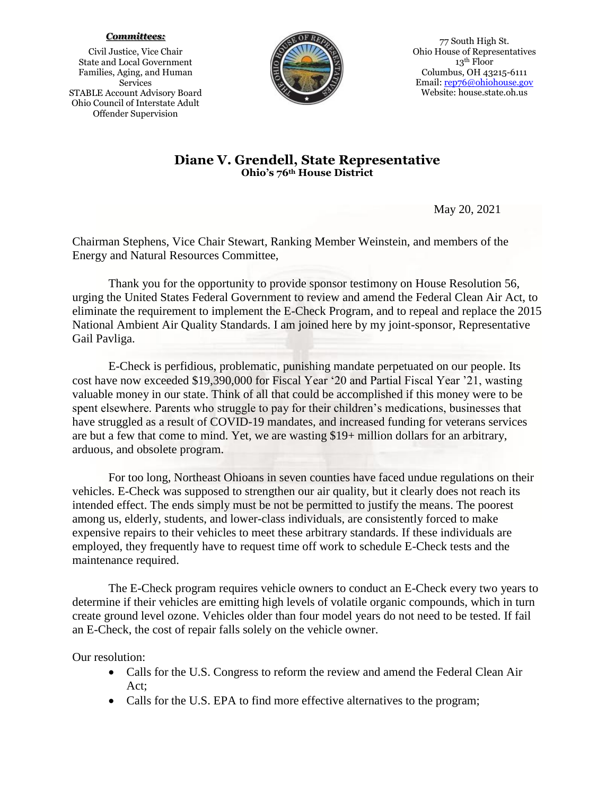## *Committees:*

Civil Justice, Vice Chair State and Local Government Families, Aging, and Human Services STABLE Account Advisory Board Ohio Council of Interstate Adult Offender Supervision



77 South High St. Ohio House of Representatives 13th Floor Columbus, OH 43215-6111 Email: [rep76@ohiohouse.gov](mailto:rep76@ohiohouse.gov) Website: house.state.oh.us

## **Diane V. Grendell, State Representative Ohio's 76th House District**

May 20, 2021

Chairman Stephens, Vice Chair Stewart, Ranking Member Weinstein, and members of the Energy and Natural Resources Committee,

Thank you for the opportunity to provide sponsor testimony on House Resolution 56, urging the United States Federal Government to review and amend the Federal Clean Air Act, to eliminate the requirement to implement the E-Check Program, and to repeal and replace the 2015 National Ambient Air Quality Standards. I am joined here by my joint-sponsor, Representative Gail Pavliga.

E-Check is perfidious, problematic, punishing mandate perpetuated on our people. Its cost have now exceeded \$19,390,000 for Fiscal Year '20 and Partial Fiscal Year '21, wasting valuable money in our state. Think of all that could be accomplished if this money were to be spent elsewhere. Parents who struggle to pay for their children's medications, businesses that have struggled as a result of COVID-19 mandates, and increased funding for veterans services are but a few that come to mind. Yet, we are wasting \$19+ million dollars for an arbitrary, arduous, and obsolete program.

For too long, Northeast Ohioans in seven counties have faced undue regulations on their vehicles. E-Check was supposed to strengthen our air quality, but it clearly does not reach its intended effect. The ends simply must be not be permitted to justify the means. The poorest among us, elderly, students, and lower-class individuals, are consistently forced to make expensive repairs to their vehicles to meet these arbitrary standards. If these individuals are employed, they frequently have to request time off work to schedule E-Check tests and the maintenance required.

The E-Check program requires vehicle owners to conduct an E-Check every two years to determine if their vehicles are emitting high levels of volatile organic compounds, which in turn create ground level ozone. Vehicles older than four model years do not need to be tested. If fail an E-Check, the cost of repair falls solely on the vehicle owner.

Our resolution:

- Calls for the U.S. Congress to reform the review and amend the Federal Clean Air Act;
- Calls for the U.S. EPA to find more effective alternatives to the program;